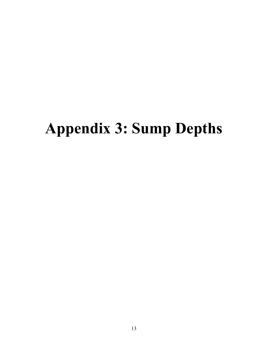## **Appendix 3: Sump Depths**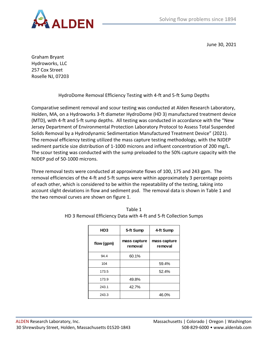

June 30, 2021

Graham Bryant Hydroworks, LLC 257 Cox Street Roselle NJ, 07203

HydroDome Removal Efficiency Testing with 4-ft and 5-ft Sump Depths

Comparative sediment removal and scour testing was conducted at Alden Research Laboratory, Holden, MA, on a Hydroworks 3-ft diameter HydroDome (HD 3) manufactured treatment device (MTD), with 4-ft and 5-ft sump depths. All testing was conducted in accordance with the "New Jersey Department of Environmental Protection Laboratory Protocol to Assess Total Suspended Solids Removal by a Hydrodynamic Sedimentation Manufactured Treatment Device" (2021). The removal efficiency testing utilized the mass capture testing methodology, with the NJDEP sediment particle size distribution of 1-1000 microns and influent concentration of 200 mg/L. The scour testing was conducted with the sump preloaded to the 50% capture capacity with the NJDEP psd of 50-1000 microns.

Three removal tests were conducted at approximate flows of 100, 175 and 243 gpm. The removal efficiencies of the 4-ft and 5-ft sumps were within approximately 3 percentage points of each other, which is considered to be within the repeatability of the testing, taking into account slight deviations in flow and sediment psd. The removal data is shown in Table 1 and the two removal curves are shown on figure 1.

| 5-ft Sump               | 4-ft Sump               |
|-------------------------|-------------------------|
| mass capture<br>removal | mass capture<br>removal |
| 60.1%                   |                         |
|                         | 59.4%                   |
|                         | 52.4%                   |
| 49.8%                   |                         |
| 42.7%                   |                         |
|                         | 46.0%                   |
|                         |                         |

| Table 1                                                          |
|------------------------------------------------------------------|
| HD 3 Removal Efficiency Data with 4-ft and 5-ft Collection Sumps |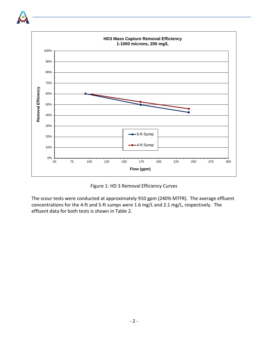

Figure 1: HD 3 Removal Efficiency Curves

The scour tests were conducted at approximately 910 gpm (240% MTFR). The average effluent concentrations for the 4-ft and 5-ft sumps were 1.6 mg/L and 2.1 mg/L, respectively. The effluent data for both tests is shown in Table 2.